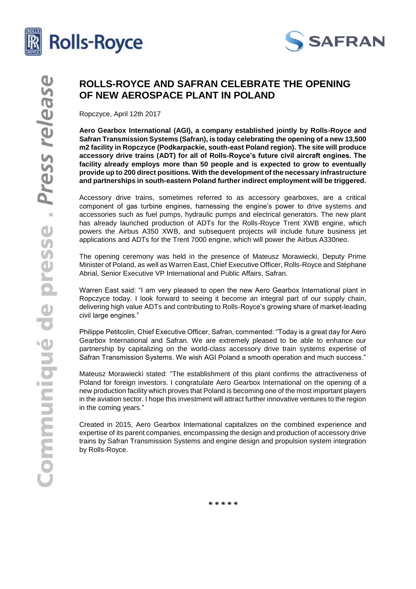



# **ROLLS-ROYCE AND SAFRAN CELEBRATE THE OPENING OF NEW AEROSPACE PLANT IN POLAND**

Ropczyce, April 12th 2017

**Aero Gearbox International (AGI), a company established jointly by Rolls-Royce and Safran Transmission Systems (Safran), is today celebrating the opening of a new 13,500 m2 facility in Ropczyce (Podkarpackie, south-east Poland region). The site will produce accessory drive trains (ADT) for all of Rolls-Royce's future civil aircraft engines. The facility already employs more than 50 people and is expected to grow to eventually provide up to 200 direct positions. With the development of the necessary infrastructure and partnerships in south-eastern Poland further indirect employment will be triggered.**

Accessory drive trains, sometimes referred to as accessory gearboxes, are a critical component of gas turbine engines, harnessing the engine's power to drive systems and accessories such as fuel pumps, hydraulic pumps and electrical generators. The new plant has already launched production of ADTs for the Rolls-Royce Trent XWB engine, which powers the Airbus A350 XWB, and subsequent projects will include future business jet applications and ADTs for the Trent 7000 engine, which will power the Airbus A330neo.

The opening ceremony was held in the presence of Mateusz Morawiecki, Deputy Prime Minister of Poland, as well as Warren East, Chief Executive Officer, Rolls-Royce and Stéphane Abrial, Senior Executive VP International and Public Affairs, Safran.

Warren East said: "I am very pleased to open the new Aero Gearbox International plant in Ropczyce today. I look forward to seeing it become an integral part of our supply chain, delivering high value ADTs and contributing to Rolls-Royce's growing share of market-leading civil large engines."

Philippe Petitcolin, Chief Executive Officer, Safran, commented: "Today is a great day for Aero Gearbox International and Safran. We are extremely pleased to be able to enhance our partnership by capitalizing on the world-class accessory drive train systems expertise of Safran Transmission Systems. We wish AGI Poland a smooth operation and much success."

Mateusz Morawiecki stated: "The establishment of this plant confirms the attractiveness of Poland for foreign investors. I congratulate Aero Gearbox International on the opening of a new production facility which proves that Poland is becoming one of the most important players in the aviation sector. I hope this investment will attract further innovative ventures to the region in the coming years."

Created in 2015, Aero Gearbox International capitalizes on the combined experience and expertise of its parent companies, encompassing the design and production of accessory drive trains by Safran Transmission Systems and engine design and propulsion system integration by Rolls-Royce.

*\* \* \* \* \**